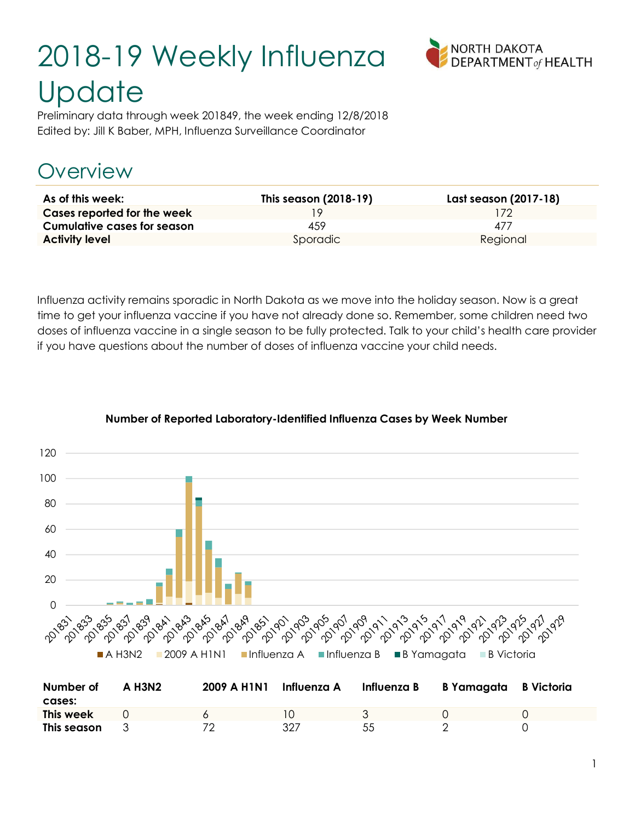# 2018-19 Weekly Influenza **Update**



Preliminary data through week 201849, the week ending 12/8/2018 Edited by: Jill K Baber, MPH, Influenza Surveillance Coordinator

# Overview

| As of this week:                   | This season (2018-19) | Last season (2017-18) |
|------------------------------------|-----------------------|-----------------------|
| Cases reported for the week        |                       | 172                   |
| <b>Cumulative cases for season</b> | 459                   | 477                   |
| <b>Activity level</b>              | Sporadic              | Regional              |

Influenza activity remains sporadic in North Dakota as we move into the holiday season. Now is a great time to get your influenza vaccine if you have not already done so. Remember, some children need two doses of influenza vaccine in a single season to be fully protected. Talk to your child's health care provider if you have questions about the number of doses of influenza vaccine your child needs.



#### Number of Reported Laboratory-Identified Influenza Cases by Week Number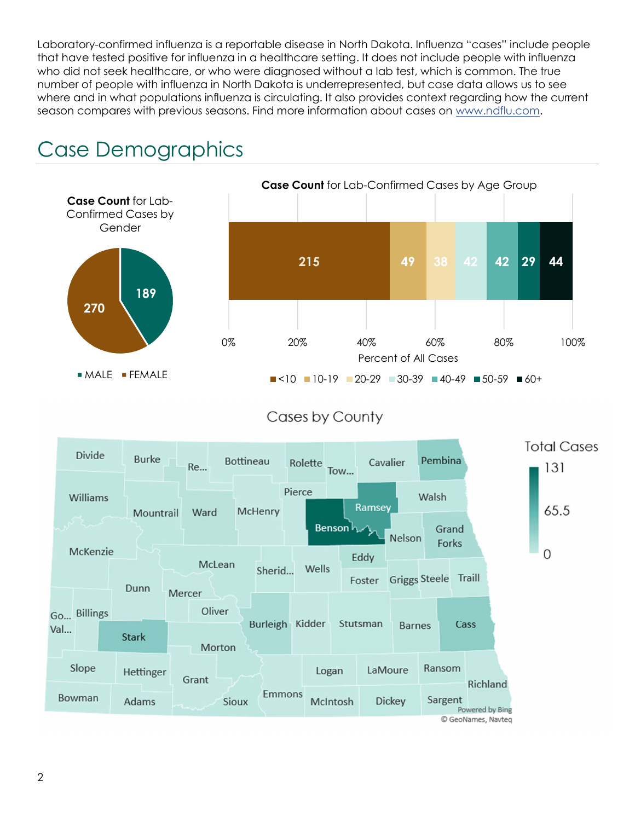Laboratory-confirmed influenza is a reportable disease in North Dakota. Influenza "cases" include people that have tested positive for influenza in a healthcare setting. It does not include people with influenza who did not seek healthcare, or who were diagnosed without a lab test, which is common. The true number of people with influenza in North Dakota is underrepresented, but case data allows us to see where and in what populations influenza is circulating. It also provides context regarding how the current season compares with previous seasons. Find more information about cases on www.ndflu.com.





Cases by County

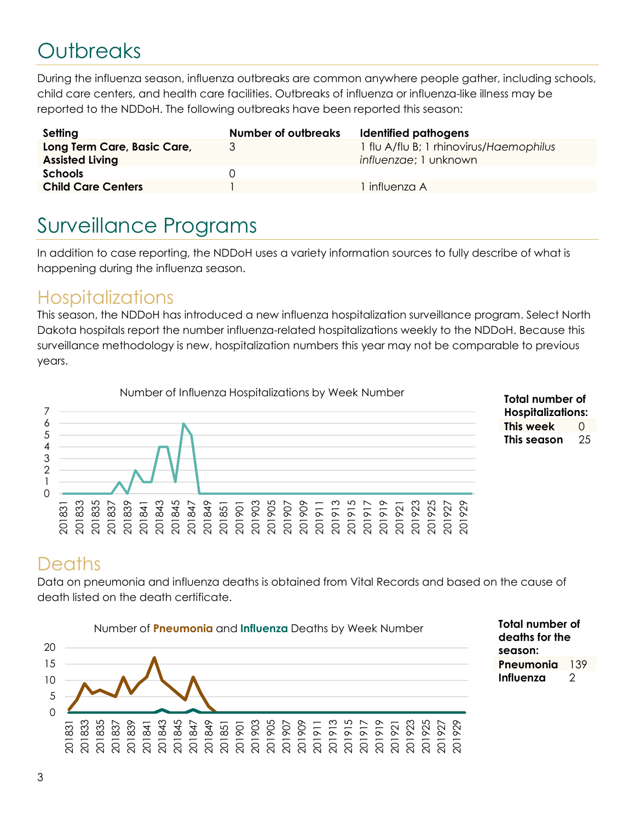# **Outbreaks**

During the influenza season, influenza outbreaks are common anywhere people gather, including schools, child care centers, and health care facilities. Outbreaks of influenza or influenza-like illness may be reported to the NDDoH. The following outbreaks have been reported this season:

| Setting                                               | <b>Number of outbreaks</b> | Identified pathogens                                             |
|-------------------------------------------------------|----------------------------|------------------------------------------------------------------|
| Long Term Care, Basic Care,<br><b>Assisted Living</b> | 3                          | 1 flu A/flu B; 1 rhinovirus/Haemophilus<br>influenzae; 1 unknown |
| <b>Schools</b>                                        | $\Box$                     |                                                                  |
| <b>Child Care Centers</b>                             |                            | influenza A                                                      |

# Surveillance Programs

In addition to case reporting, the NDDoH uses a variety information sources to fully describe of what is happening during the influenza season.

#### **Hospitalizations**

This season, the NDDoH has introduced a new influenza hospitalization surveillance program. Select North Dakota hospitals report the number influenza-related hospitalizations weekly to the NDDoH. Because this surveillance methodology is new, hospitalization numbers this year may not be comparable to previous years.





#### **Deaths**

Data on pneumonia and influenza deaths is obtained from Vital Records and based on the cause of death listed on the death certificate.



Total number of deaths for the season: Pneumonia 139 Influenza 2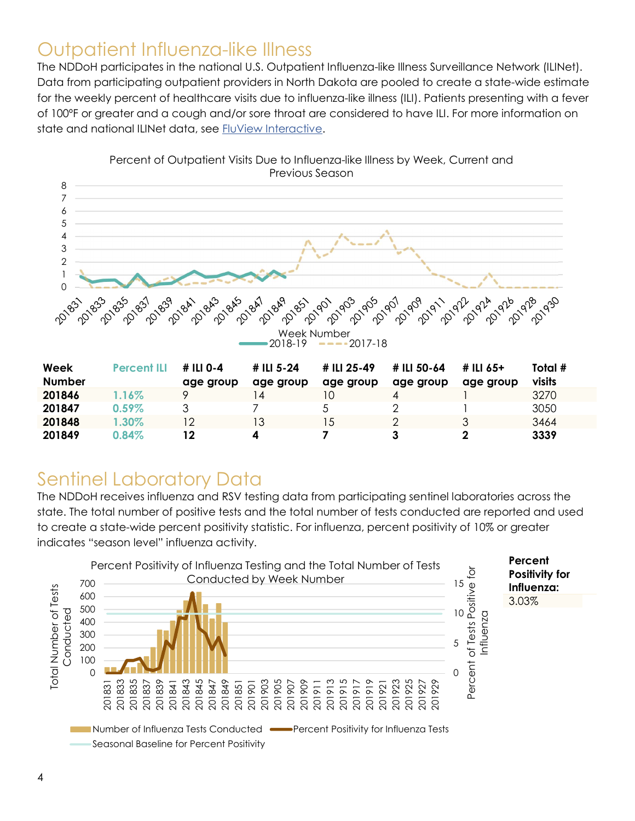#### Outpatient Influenza-like Illness

The NDDoH participates in the national U.S. Outpatient Influenza-like Illness Surveillance Network (ILINet). Data from participating outpatient providers in North Dakota are pooled to create a state-wide estimate for the weekly percent of healthcare visits due to influenza-like illness (ILI). Patients presenting with a fever of 100ºF or greater and a cough and/or sore throat are considered to have ILI. For more information on state and national ILINet data, see FluView Interactive.



Percent of Outpatient Visits Due to Influenza-like Illness by Week, Current and Previous Season

| Week<br><b>Number</b> | <b>Percent ILI</b> | # ILI 0-4<br>age group | # ILI 5-24<br>age group | # ILI 25-49<br>age group | # ILI 50-64<br>age group | # ILI 65+<br>age group | Total #<br>visits |
|-----------------------|--------------------|------------------------|-------------------------|--------------------------|--------------------------|------------------------|-------------------|
| 201846                | 1.16%              |                        | 4                       | 10                       | 4                        |                        | 3270              |
| 201847                | $0.59\%$           |                        |                         |                          |                          |                        | 3050              |
| 201848                | $1.30\%$           | $\overline{2}$         | Ι3                      | 15                       | ⌒                        |                        | 3464              |
| 201849                | 0.84%              | 12                     |                         |                          |                          |                        | 3339              |

### Sentinel Laboratory Data

The NDDoH receives influenza and RSV testing data from participating sentinel laboratories across the state. The total number of positive tests and the total number of tests conducted are reported and used to create a state-wide percent positivity statistic. For influenza, percent positivity of 10% or greater indicates "season level" influenza activity.

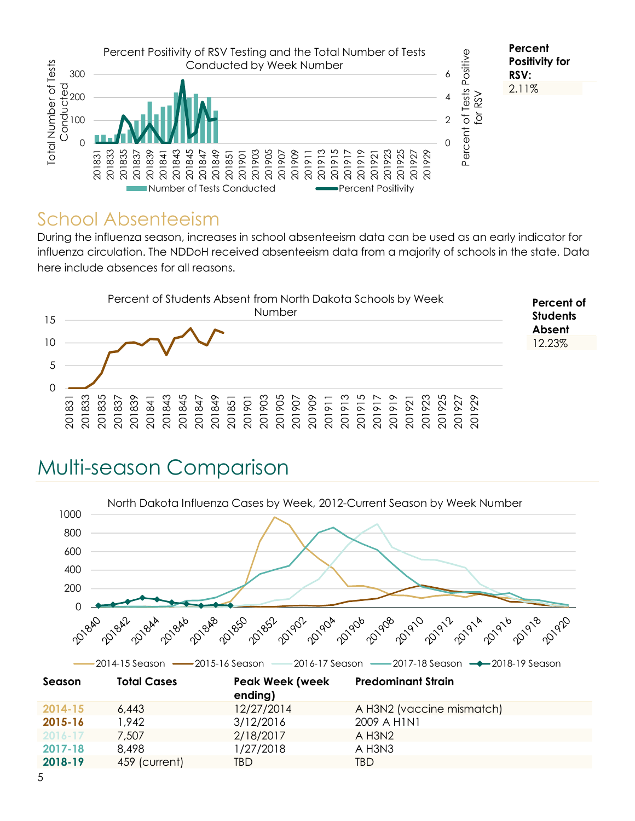

#### School Absenteeism

During the influenza season, increases in school absenteeism data can be used as an early indicator for influenza circulation. The NDDoH received absenteeism data from a majority of schools in the state. Data here include absences for all reasons.



# Multi-season Comparison